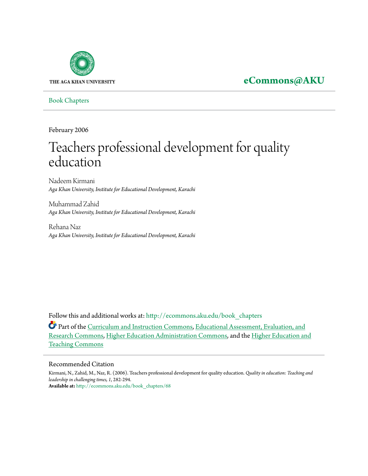

## **[eCommons@AKU](http://ecommons.aku.edu?utm_source=ecommons.aku.edu%2Fbook_chapters%2F68&utm_medium=PDF&utm_campaign=PDFCoverPages)**

[Book Chapters](http://ecommons.aku.edu/book_chapters?utm_source=ecommons.aku.edu%2Fbook_chapters%2F68&utm_medium=PDF&utm_campaign=PDFCoverPages)

February 2006

# Teachers professional development for quality education

Nadeem Kirmani *Aga Khan University, Institute for Educational Development, Karachi*

Muhammad Zahid *Aga Khan University, Institute for Educational Development, Karachi*

Rehana Naz *Aga Khan University, Institute for Educational Development, Karachi*

Follow this and additional works at: [http://ecommons.aku.edu/book\\_chapters](http://ecommons.aku.edu/book_chapters?utm_source=ecommons.aku.edu%2Fbook_chapters%2F68&utm_medium=PDF&utm_campaign=PDFCoverPages)

Part of the [Curriculum and Instruction Commons](http://network.bepress.com/hgg/discipline/786?utm_source=ecommons.aku.edu%2Fbook_chapters%2F68&utm_medium=PDF&utm_campaign=PDFCoverPages), [Educational Assessment, Evaluation, and](http://network.bepress.com/hgg/discipline/796?utm_source=ecommons.aku.edu%2Fbook_chapters%2F68&utm_medium=PDF&utm_campaign=PDFCoverPages) [Research Commons,](http://network.bepress.com/hgg/discipline/796?utm_source=ecommons.aku.edu%2Fbook_chapters%2F68&utm_medium=PDF&utm_campaign=PDFCoverPages) [Higher Education Administration Commons,](http://network.bepress.com/hgg/discipline/791?utm_source=ecommons.aku.edu%2Fbook_chapters%2F68&utm_medium=PDF&utm_campaign=PDFCoverPages) and the [Higher Education and](http://network.bepress.com/hgg/discipline/806?utm_source=ecommons.aku.edu%2Fbook_chapters%2F68&utm_medium=PDF&utm_campaign=PDFCoverPages) [Teaching Commons](http://network.bepress.com/hgg/discipline/806?utm_source=ecommons.aku.edu%2Fbook_chapters%2F68&utm_medium=PDF&utm_campaign=PDFCoverPages)

#### Recommended Citation

Kirmani, N., Zahid, M., Naz, R. (2006). Teachers professional development for quality education. *Quality in education: Teaching and leadership in challenging times, 1*, 282-294. **Available at:** [http://ecommons.aku.edu/book\\_chapters/68](http://ecommons.aku.edu/book_chapters/68)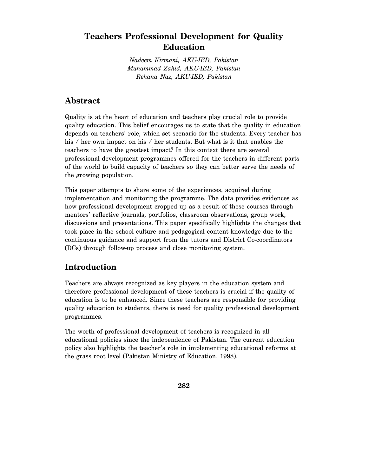## **Teachers Professional Development for Quality Education**

*Nadeem Kirmani, AKU-IED, Pakistan Muhammad Zahid, AKU-IED, Pakistan Rehana Naz, AKU-IED, Pakistan* 

## **Abstract**

Quality is at the heart of education and teachers play crucial role to provide quality education. This belief encourages us to state that the quality in education depends on teachers' role, which set scenario for the students. Every teacher has his / her own impact on his / her students. But what is it that enables the teachers to have the greatest impact? In this context there are several professional development programmes offered for the teachers in different parts of the world to build capacity of teachers so they can better serve the needs of the growing population.

This paper attempts to share some of the experiences, acquired during implementation and monitoring the programme. The data provides evidences as how professional development cropped up as a result of these courses through mentors' reflective journals, portfolios, classroom observations, group work, discussions and presentations. This paper specifically highlights the changes that took place in the school culture and pedagogical content knowledge due to the continuous guidance and support from the tutors and District Co-coordinators (DCs) through follow-up process and close monitoring system.

## **Introduction**

Teachers are always recognized as key players in the education system and therefore professional development of these teachers is crucial if the quality of education is to be enhanced. Since these teachers are responsible for providing quality education to students, there is need for quality professional development programmes.

The worth of professional development of teachers is recognized in all educational policies since the independence of Pakistan. The current education policy also highlights the teacher's role in implementing educational reforms at the grass root level (Pakistan Ministry of Education, 1998).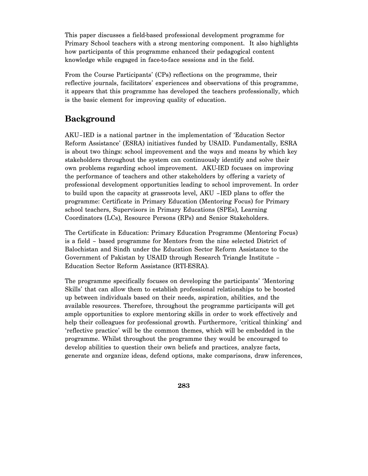This paper discusses a field-based professional development programme for Primary School teachers with a strong mentoring component. It also highlights how participants of this programme enhanced their pedagogical content knowledge while engaged in face-to-face sessions and in the field.

From the Course Participants' (CPs) reflections on the programme, their reflective journals, facilitators' experiences and observations of this programme, it appears that this programme has developed the teachers professionally, which is the basic element for improving quality of education.

## **Background**

AKU–IED is a national partner in the implementation of 'Education Sector Reform Assistance' (ESRA) initiatives funded by USAID. Fundamentally, ESRA is about two things: school improvement and the ways and means by which key stakeholders throughout the system can continuously identify and solve their own problems regarding school improvement. AKU-IED focuses on improving the performance of teachers and other stakeholders by offering a variety of professional development opportunities leading to school improvement. In order to build upon the capacity at grassroots level, AKU –IED plans to offer the programme: Certificate in Primary Education (Mentoring Focus) for Primary school teachers, Supervisors in Primary Educations (SPEs), Learning Coordinators (LCs), Resource Persons (RPs) and Senior Stakeholders.

The Certificate in Education: Primary Education Programme (Mentoring Focus) is a field – based programme for Mentors from the nine selected District of Balochistan and Sindh under the Education Sector Reform Assistance to the Government of Pakistan by USAID through Research Triangle Institute – Education Sector Reform Assistance (RTI-ESRA).

The programme specifically focuses on developing the participants' 'Mentoring Skills' that can allow them to establish professional relationships to be boosted up between individuals based on their needs, aspiration, abilities, and the available resources. Therefore, throughout the programme participants will get ample opportunities to explore mentoring skills in order to work effectively and help their colleagues for professional growth. Furthermore, 'critical thinking' and 'reflective practice' will be the common themes, which will be embedded in the programme. Whilst throughout the programme they would be encouraged to develop abilities to question their own beliefs and practices, analyze facts, generate and organize ideas, defend options, make comparisons, draw inferences,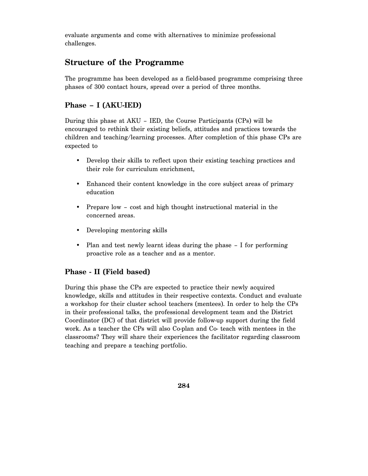evaluate arguments and come with alternatives to minimize professional challenges.

## **Structure of the Programme**

The programme has been developed as a field-based programme comprising three phases of 300 contact hours, spread over a period of three months.

#### **Phase – I (AKU-IED)**

During this phase at AKU – IED, the Course Participants (CPs) will be encouraged to rethink their existing beliefs, attitudes and practices towards the children and teaching/learning processes. After completion of this phase CPs are expected to

- Develop their skills to reflect upon their existing teaching practices and their role for curriculum enrichment,
- Enhanced their content knowledge in the core subject areas of primary education
- Prepare low cost and high thought instructional material in the concerned areas.
- Developing mentoring skills
- Plan and test newly learnt ideas during the phase I for performing proactive role as a teacher and as a mentor.

#### **Phase - II (Field based)**

During this phase the CPs are expected to practice their newly acquired knowledge, skills and attitudes in their respective contexts. Conduct and evaluate a workshop for their cluster school teachers (mentees). In order to help the CPs in their professional talks, the professional development team and the District Coordinator (DC) of that district will provide follow-up support during the field work. As a teacher the CPs will also Co-plan and Co- teach with mentees in the classrooms? They will share their experiences the facilitator regarding classroom teaching and prepare a teaching portfolio.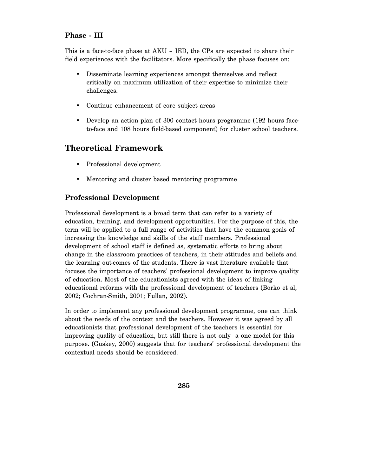#### **Phase - III**

This is a face-to-face phase at AKU – IED, the CPs are expected to share their field experiences with the facilitators. More specifically the phase focuses on:

- Disseminate learning experiences amongst themselves and reflect critically on maximum utilization of their expertise to minimize their challenges.
- Continue enhancement of core subject areas
- Develop an action plan of 300 contact hours programme (192 hours faceto-face and 108 hours field-based component) for cluster school teachers.

#### **Theoretical Framework**

- Professional development
- Mentoring and cluster based mentoring programme

#### **Professional Development**

Professional development is a broad term that can refer to a variety of education, training, and development opportunities. For the purpose of this, the term will be applied to a full range of activities that have the common goals of increasing the knowledge and skills of the staff members. Professional development of school staff is defined as, systematic efforts to bring about change in the classroom practices of teachers, in their attitudes and beliefs and the learning out-comes of the students. There is vast literature available that focuses the importance of teachers' professional development to improve quality of education. Most of the educationists agreed with the ideas of linking educational reforms with the professional development of teachers (Borko et al, 2002; Cochran-Smith, 2001; Fullan, 2002).

In order to implement any professional development programme, one can think about the needs of the context and the teachers. However it was agreed by all educationists that professional development of the teachers is essential for improving quality of education, but still there is not only a one model for this purpose. (Guskey, 2000) suggests that for teachers' professional development the contextual needs should be considered.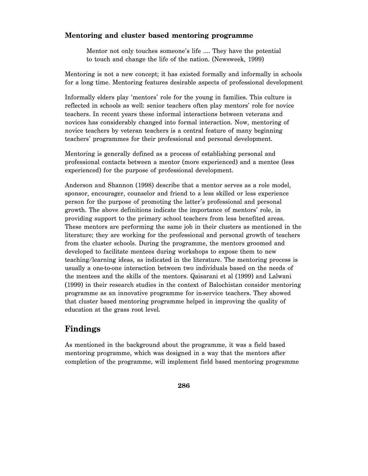#### **Mentoring and cluster based mentoring programme**

Mentor not only touches someone's life …. They have the potential to touch and change the life of the nation. (Newsweek, 1999)

Mentoring is not a new concept; it has existed formally and informally in schools for a long time. Mentoring features desirable aspects of professional development

Informally elders play 'mentors' role for the young in families. This culture is reflected in schools as well: senior teachers often play mentors' role for novice teachers. In recent years these informal interactions between veterans and novices has considerably changed into formal interaction. Now, mentoring of novice teachers by veteran teachers is a central feature of many beginning teachers' programmes for their professional and personal development.

Mentoring is generally defined as a process of establishing personal and professional contacts between a mentor (more experienced) and a mentee (less experienced) for the purpose of professional development.

Anderson and Shannon (1998) describe that a mentor serves as a role model, sponsor, encourager, counselor and friend to a less skilled or less experience person for the purpose of promoting the latter's professional and personal growth. The above definitions indicate the importance of mentors' role, in providing support to the primary school teachers from less benefited areas. These mentors are performing the same job in their clusters as mentioned in the literature; they are working for the professional and personal growth of teachers from the cluster schools. During the programme, the mentors groomed and developed to facilitate mentees during workshops to expose them to new teaching/learning ideas, as indicated in the literature. The mentoring process is usually a one-to-one interaction between two individuals based on the needs of the mentees and the skills of the mentors. Qaisarani et al (1999) and Lalwani (1999) in their research studies in the context of Balochistan consider mentoring programme as an innovative programme for in-service teachers. They showed that cluster based mentoring programme helped in improving the quality of education at the grass root level.

## **Findings**

As mentioned in the background about the programme, it was a field based mentoring programme, which was designed in a way that the mentors after completion of the programme, will implement field based mentoring programme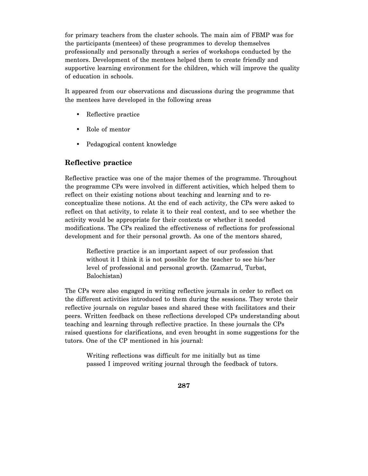for primary teachers from the cluster schools. The main aim of FBMP was for the participants (mentees) of these programmes to develop themselves professionally and personally through a series of workshops conducted by the mentors. Development of the mentees helped them to create friendly and supportive learning environment for the children, which will improve the quality of education in schools.

It appeared from our observations and discussions during the programme that the mentees have developed in the following areas

- Reflective practice
- Role of mentor
- Pedagogical content knowledge

#### **Reflective practice**

Reflective practice was one of the major themes of the programme. Throughout the programme CPs were involved in different activities, which helped them to reflect on their existing notions about teaching and learning and to reconceptualize these notions. At the end of each activity, the CPs were asked to reflect on that activity, to relate it to their real context, and to see whether the activity would be appropriate for their contexts or whether it needed modifications. The CPs realized the effectiveness of reflections for professional development and for their personal growth. As one of the mentors shared,

Reflective practice is an important aspect of our profession that without it I think it is not possible for the teacher to see his/her level of professional and personal growth. (Zamarrud, Turbat, Balochistan)

The CPs were also engaged in writing reflective journals in order to reflect on the different activities introduced to them during the sessions. They wrote their reflective journals on regular bases and shared these with facilitators and their peers. Written feedback on these reflections developed CPs understanding about teaching and learning through reflective practice. In these journals the CPs raised questions for clarifications, and even brought in some suggestions for the tutors. One of the CP mentioned in his journal:

Writing reflections was difficult for me initially but as time passed I improved writing journal through the feedback of tutors.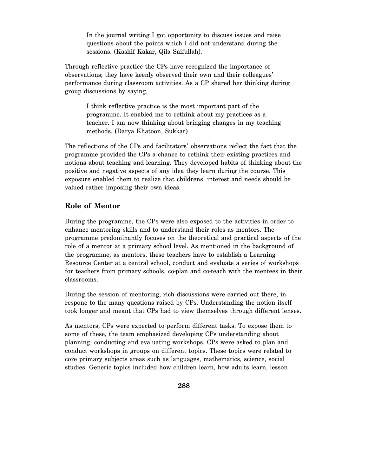In the journal writing I got opportunity to discuss issues and raise questions about the points which I did not understand during the sessions. (Kashif Kakar, Qila Saifullah).

Through reflective practice the CPs have recognized the importance of observations; they have keenly observed their own and their colleagues' performance during classroom activities. As a CP shared her thinking during group discussions by saying,

I think reflective practice is the most important part of the programme. It enabled me to rethink about my practices as a teacher. I am now thinking about bringing changes in my teaching methods. (Darya Khatoon, Sukkar)

The reflections of the CPs and facilitators' observations reflect the fact that the programme provided the CPs a chance to rethink their existing practices and notions about teaching and learning. They developed habits of thinking about the positive and negative aspects of any idea they learn during the course. This exposure enabled them to realize that childrens' interest and needs should be valued rather imposing their own ideas.

#### **Role of Mentor**

During the programme, the CPs were also exposed to the activities in order to enhance mentoring skills and to understand their roles as mentors. The programme predominantly focuses on the theoretical and practical aspects of the role of a mentor at a primary school level. As mentioned in the background of the programme, as mentors, these teachers have to establish a Learning Resource Center at a central school, conduct and evaluate a series of workshops for teachers from primary schools, co-plan and co-teach with the mentees in their classrooms.

During the session of mentoring, rich discussions were carried out there, in respone to the many questions raised by CPs. Understanding the notion itself took longer and meant that CPs had to view themselves through different lenses.

As mentors, CPs were expected to perform different tasks. To expose them to some of these, the team emphasized developing CPs understanding about planning, conducting and evaluating workshops. CPs were asked to plan and conduct workshops in groups on different topics. These topics were related to core primary subjects areas such as languages, mathematics, science, social studies. Generic topics included how children learn, how adults learn, lesson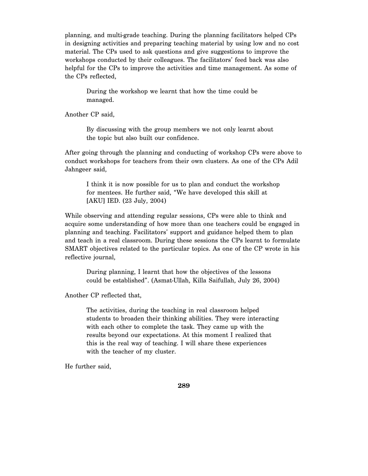planning, and multi-grade teaching. During the planning facilitators helped CPs in designing activities and preparing teaching material by using low and no cost material. The CPs used to ask questions and give suggestions to improve the workshops conducted by their colleagues. The facilitators' feed back was also helpful for the CPs to improve the activities and time management. As some of the CPs reflected,

During the workshop we learnt that how the time could be managed.

Another CP said,

By discussing with the group members we not only learnt about the topic but also built our confidence.

After going through the planning and conducting of workshop CPs were above to conduct workshops for teachers from their own clusters. As one of the CPs Adil Jahngeer said,

I think it is now possible for us to plan and conduct the workshop for mentees. He further said, "We have developed this skill at [AKU] IED. (23 July, 2004)

While observing and attending regular sessions, CPs were able to think and acquire some understanding of how more than one teachers could be engaged in planning and teaching. Facilitators' support and guidance helped them to plan and teach in a real classroom. During these sessions the CPs learnt to formulate SMART objectives related to the particular topics. As one of the CP wrote in his reflective journal,

During planning, I learnt that how the objectives of the lessons could be established". (Asmat-Ullah, Killa Saifullah, July 26, 2004)

Another CP reflected that,

The activities, during the teaching in real classroom helped students to broaden their thinking abilities. They were interacting with each other to complete the task. They came up with the results beyond our expectations. At this moment I realized that this is the real way of teaching. I will share these experiences with the teacher of my cluster.

He further said,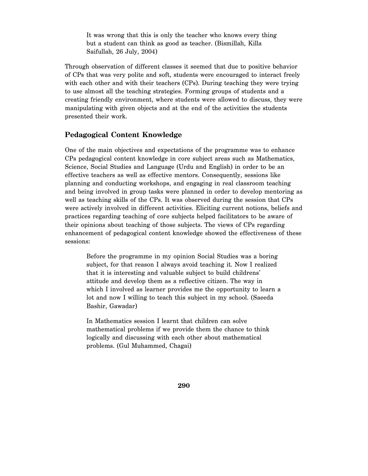It was wrong that this is only the teacher who knows every thing but a student can think as good as teacher. (Bismillah, Killa Saifullah, 26 July, 2004)

Through observation of different classes it seemed that due to positive behavior of CPs that was very polite and soft, students were encouraged to interact freely with each other and with their teachers (CPs). During teaching they were trying to use almost all the teaching strategies. Forming groups of students and a creating friendly environment, where students were allowed to discuss, they were manipulating with given objects and at the end of the activities the students presented their work.

#### **Pedagogical Content Knowledge**

One of the main objectives and expectations of the programme was to enhance CPs pedagogical content knowledge in core subject areas such as Mathematics, Science, Social Studies and Language (Urdu and English) in order to be an effective teachers as well as effective mentors. Consequently, sessions like planning and conducting workshops, and engaging in real classroom teaching and being involved in group tasks were planned in order to develop mentoring as well as teaching skills of the CPs. It was observed during the session that CPs were actively involved in different activities. Eliciting current notions, beliefs and practices regarding teaching of core subjects helped facilitators to be aware of their opinions about teaching of those subjects. The views of CPs regarding enhancement of pedagogical content knowledge showed the effectiveness of these sessions:

Before the programme in my opinion Social Studies was a boring subject, for that reason I always avoid teaching it. Now I realized that it is interesting and valuable subject to build childrens' attitude and develop them as a reflective citizen. The way in which I involved as learner provides me the opportunity to learn a lot and now I willing to teach this subject in my school. (Saeeda Bashir, Gawadar)

In Mathematics session I learnt that children can solve mathematical problems if we provide them the chance to think logically and discussing with each other about mathematical problems. (Gul Muhammed, Chagai)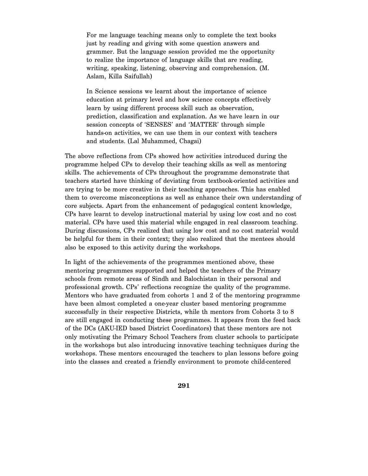For me language teaching means only to complete the text books just by reading and giving with some question answers and grammer. But the language session provided me the opportunity to realize the importance of language skills that are reading, writing, speaking, listening, observing and comprehension. (M. Aslam, Killa Saifullah)

In Science sessions we learnt about the importance of science education at primary level and how science concepts effectively learn by using different process skill such as observation, prediction, classification and explanation. As we have learn in our session concepts of 'SENSES' and 'MATTER' through simple hands-on activities, we can use them in our context with teachers and students. (Lal Muhammed, Chagai)

The above reflections from CPs showed how activities introduced during the programme helped CPs to develop their teaching skills as well as mentoring skills. The achievements of CPs throughout the programme demonstrate that teachers started have thinking of deviating from textbook-oriented activities and are trying to be more creative in their teaching approaches. This has enabled them to overcome misconceptions as well as enhance their own understanding of core subjects. Apart from the enhancement of pedagogical content knowledge, CPs have learnt to develop instructional material by using low cost and no cost material. CPs have used this material while engaged in real classroom teaching. During discussions, CPs realized that using low cost and no cost material would be helpful for them in their context; they also realized that the mentees should also be exposed to this activity during the workshops.

In light of the achievements of the programmes mentioned above, these mentoring programmes supported and helped the teachers of the Primary schools from remote areas of Sindh and Balochistan in their personal and professional growth. CPs' reflections recognize the quality of the programme. Mentors who have graduated from cohorts 1 and 2 of the mentoring programme have been almost completed a one-year cluster based mentoring programme successfully in their respective Districts, while th mentors from Cohorts 3 to 8 are still engaged in conducting these programmes. It appears from the feed back of the DCs (AKU-IED based District Coordinators) that these mentors are not only motivating the Primary School Teachers from cluster schools to participate in the workshops but also introducing innovative teaching techniques during the workshops. These mentors encouraged the teachers to plan lessons before going into the classes and created a friendly environment to promote child-centered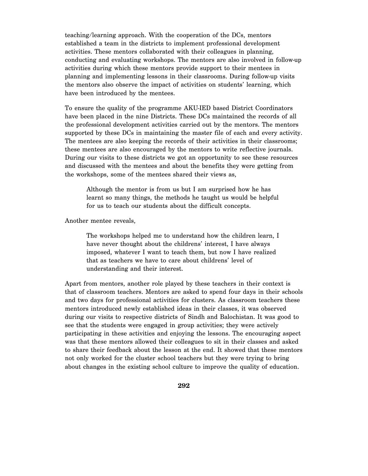teaching/learning approach. With the cooperation of the DCs, mentors established a team in the districts to implement professional development activities. These mentors collaborated with their colleagues in planning, conducting and evaluating workshops. The mentors are also involved in follow-up activities during which these mentors provide support to their mentees in planning and implementing lessons in their classrooms. During follow-up visits the mentors also observe the impact of activities on students' learning, which have been introduced by the mentees.

To ensure the quality of the programme AKU-IED based District Coordinators have been placed in the nine Districts. These DCs maintained the records of all the professional development activities carried out by the mentors. The mentors supported by these DCs in maintaining the master file of each and every activity. The mentees are also keeping the records of their activities in their classrooms; these mentees are also encouraged by the mentors to write reflective journals. During our visits to these districts we got an opportunity to see these resources and discussed with the mentees and about the benefits they were getting from the workshops, some of the mentees shared their views as,

Although the mentor is from us but I am surprised how he has learnt so many things, the methods he taught us would be helpful for us to teach our students about the difficult concepts.

Another mentee reveals,

The workshops helped me to understand how the children learn, I have never thought about the childrens' interest, I have always imposed, whatever I want to teach them, but now I have realized that as teachers we have to care about childrens' level of understanding and their interest.

Apart from mentors, another role played by these teachers in their context is that of classroom teachers. Mentors are asked to spend four days in their schools and two days for professional activities for clusters. As classroom teachers these mentors introduced newly established ideas in their classes, it was observed during our visits to respective districts of Sindh and Balochistan. It was good to see that the students were engaged in group activities; they were actively participating in these activities and enjoying the lessons. The encouraging aspect was that these mentors allowed their colleagues to sit in their classes and asked to share their feedback about the lesson at the end. It showed that these mentors not only worked for the cluster school teachers but they were trying to bring about changes in the existing school culture to improve the quality of education.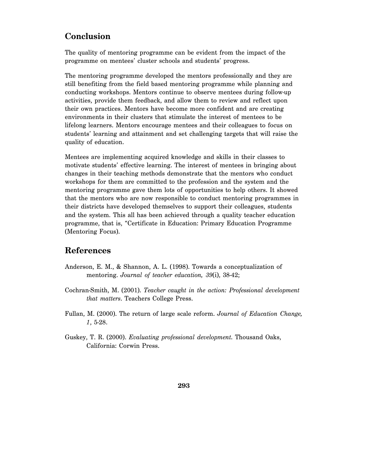## **Conclusion**

The quality of mentoring programme can be evident from the impact of the programme on mentees' cluster schools and students' progress.

The mentoring programme developed the mentors professionally and they are still benefiting from the field based mentoring programme while planning and conducting workshops. Mentors continue to observe mentees during follow-up activities, provide them feedback, and allow them to review and reflect upon their own practices. Mentors have become more confident and are creating environments in their clusters that stimulate the interest of mentees to be lifelong learners. Mentors encourage mentees and their colleagues to focus on students' learning and attainment and set challenging targets that will raise the quality of education.

Mentees are implementing acquired knowledge and skills in their classes to motivate students' effective learning. The interest of mentees in bringing about changes in their teaching methods demonstrate that the mentors who conduct workshops for them are committed to the profession and the system and the mentoring programme gave them lots of opportunities to help others. It showed that the mentors who are now responsible to conduct mentoring programmes in their districts have developed themselves to support their colleagues, students and the system. This all has been achieved through a quality teacher education programme, that is, "Certificate in Education: Primary Education Programme (Mentoring Focus).

## **References**

- Anderson, E. M., & Shannon, A. L. (1998). Towards a conceptualization of mentoring. *Journal of teacher education, 39*(i), 38-42;
- Cochran-Smith, M. (2001). *Teacher caught in the action: Professional development that matters*. Teachers College Press.
- Fullan, M. (2000). The return of large scale reform. *Journal of Education Change, 1*, 5-28.
- Guskey, T. R. (2000). *Evaluating professional development*. Thousand Oaks, California: Corwin Press.